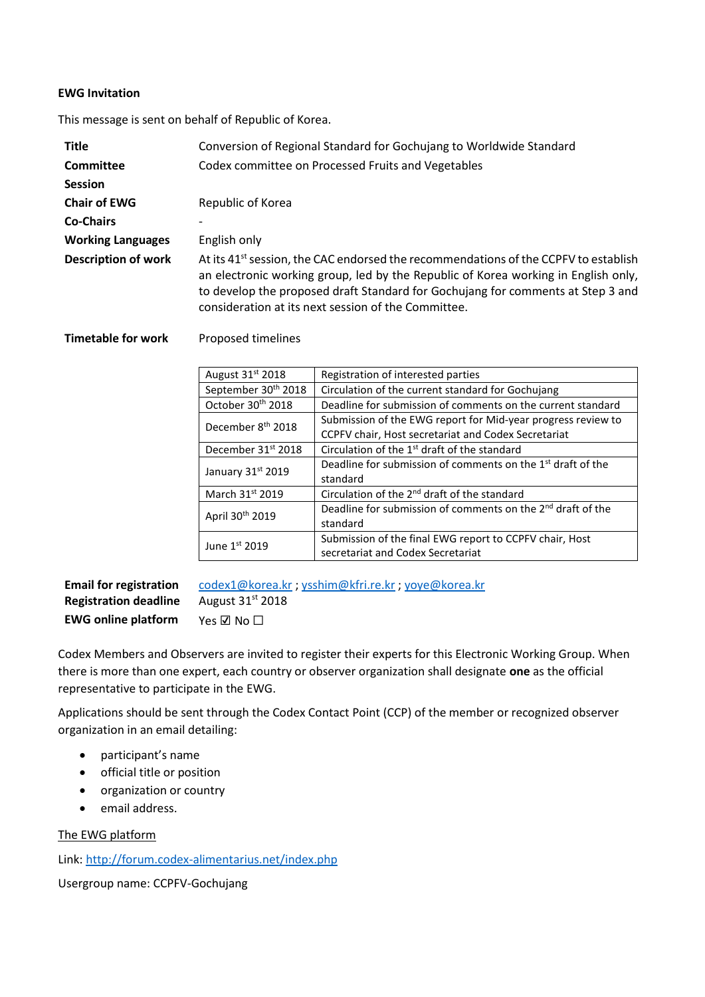## **EWG Invitation**

This message is sent on behalf of Republic of Korea.

| <b>Title</b>               | Conversion of Regional Standard for Gochujang to Worldwide Standard                                                                                                                                                                                                                                                             |
|----------------------------|---------------------------------------------------------------------------------------------------------------------------------------------------------------------------------------------------------------------------------------------------------------------------------------------------------------------------------|
| Committee                  | Codex committee on Processed Fruits and Vegetables                                                                                                                                                                                                                                                                              |
| <b>Session</b>             |                                                                                                                                                                                                                                                                                                                                 |
| <b>Chair of EWG</b>        | Republic of Korea                                                                                                                                                                                                                                                                                                               |
| <b>Co-Chairs</b>           |                                                                                                                                                                                                                                                                                                                                 |
| <b>Working Languages</b>   | English only                                                                                                                                                                                                                                                                                                                    |
| <b>Description of work</b> | At its 41 <sup>st</sup> session, the CAC endorsed the recommendations of the CCPFV to establish<br>an electronic working group, led by the Republic of Korea working in English only,<br>to develop the proposed draft Standard for Gochujang for comments at Step 3 and<br>consideration at its next session of the Committee. |

## **Timetable for work** Proposed timelines

| August 31 <sup>st</sup> 2018    | Registration of interested parties                                      |
|---------------------------------|-------------------------------------------------------------------------|
| September 30 <sup>th</sup> 2018 | Circulation of the current standard for Gochujang                       |
| October 30th 2018               | Deadline for submission of comments on the current standard             |
| December 8 <sup>th</sup> 2018   | Submission of the EWG report for Mid-year progress review to            |
|                                 | CCPFV chair, Host secretariat and Codex Secretariat                     |
| December 31 <sup>st</sup> 2018  | Circulation of the 1 <sup>st</sup> draft of the standard                |
| January 31st 2019               | Deadline for submission of comments on the 1 <sup>st</sup> draft of the |
|                                 | standard                                                                |
| March 31st 2019                 | Circulation of the 2 <sup>nd</sup> draft of the standard                |
| April 30th 2019                 | Deadline for submission of comments on the 2 <sup>nd</sup> draft of the |
|                                 | standard                                                                |
| June $1st$ 2019                 | Submission of the final EWG report to CCPFV chair, Host                 |
|                                 | secretariat and Codex Secretariat                                       |

| <b>Email for registration</b> | codex1@korea.kr; ysshim@kfri.re.kr; yoye@korea.kr |
|-------------------------------|---------------------------------------------------|
| <b>Registration deadline</b>  | August $31st 2018$                                |
| <b>EWG online platform</b>    | Yes $\nabla$ No $\Box$                            |

Codex Members and Observers are invited to register their experts for this Electronic Working Group. When there is more than one expert, each country or observer organization shall designate **one** as the official representative to participate in the EWG.

Applications should be sent through the Codex Contact Point (CCP) of the member or recognized observer organization in an email detailing:

- participant's name
- official title or position
- organization or country
- email address.

## The EWG platform

Link[: http://forum.codex-alimentarius.net/index.php](http://forum.codex-alimentarius.net/index.php)

Usergroup name: CCPFV-Gochujang